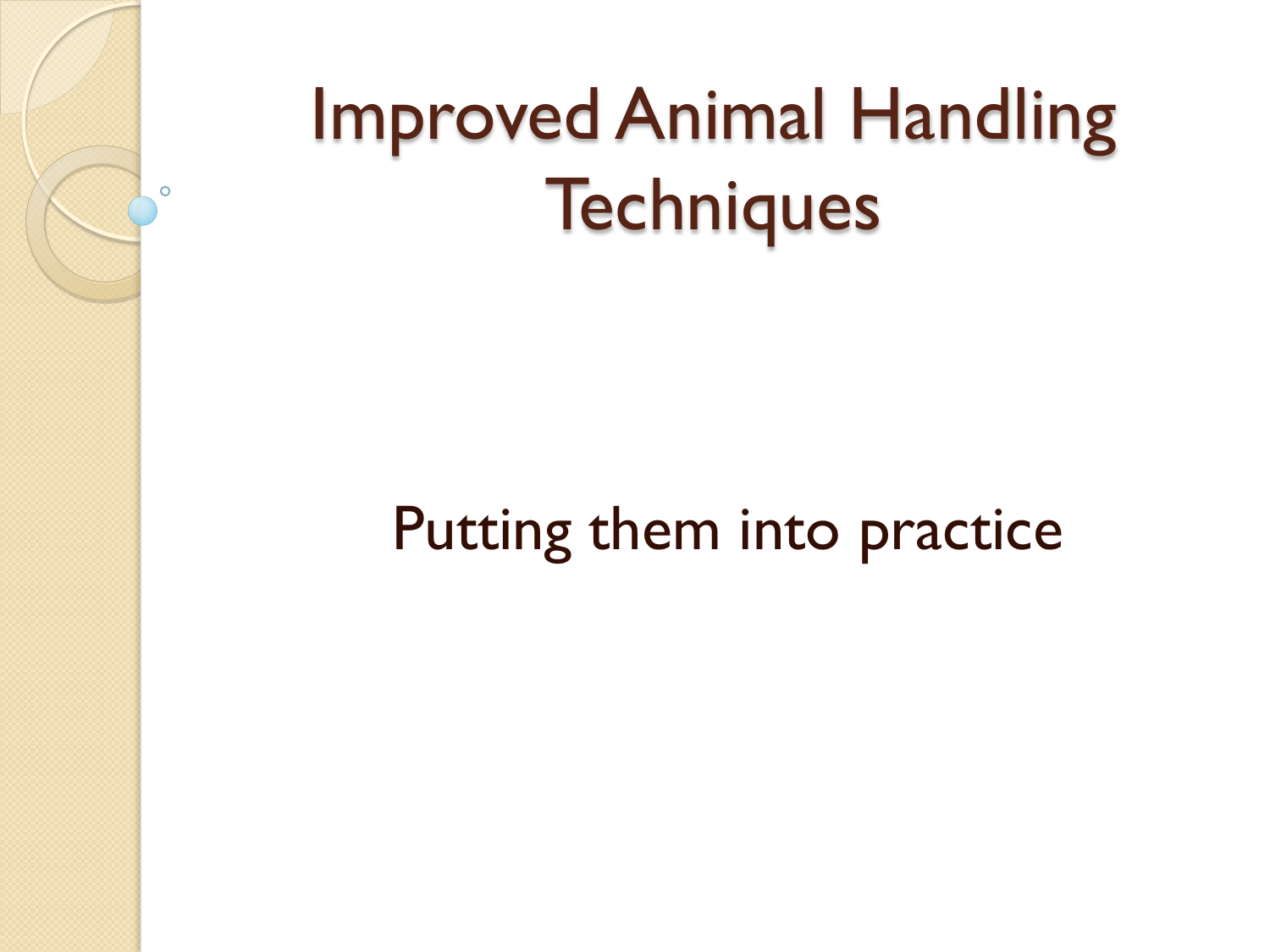## Improved Animal Handling **Techniques**

 $\circ$ 

#### Putting them into practice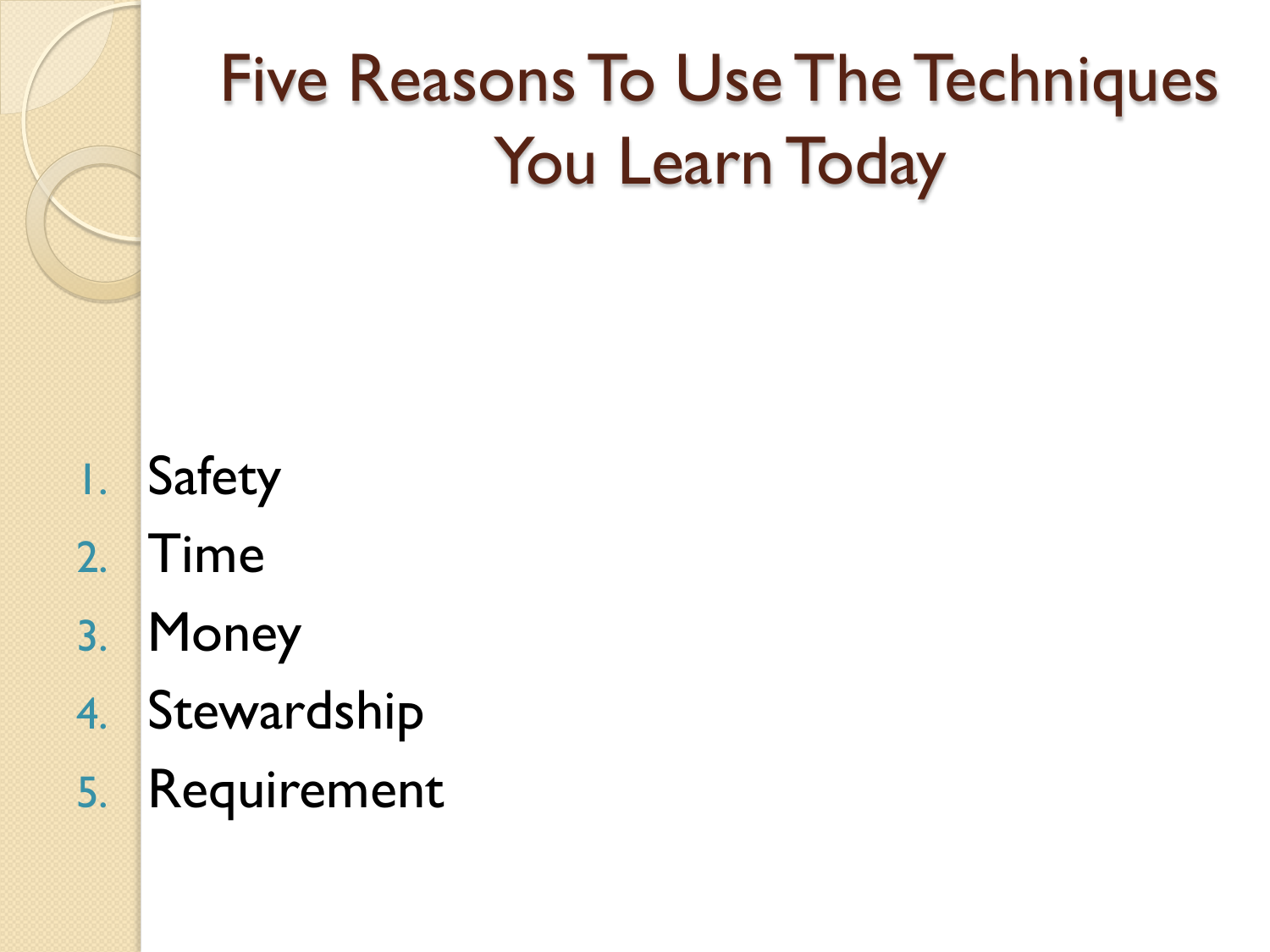### Five Reasons To Use The Techniques You Learn Today

- 1. Safety
- 2. Time
- 3. Money
- 4. Stewardship
- 5. Requirement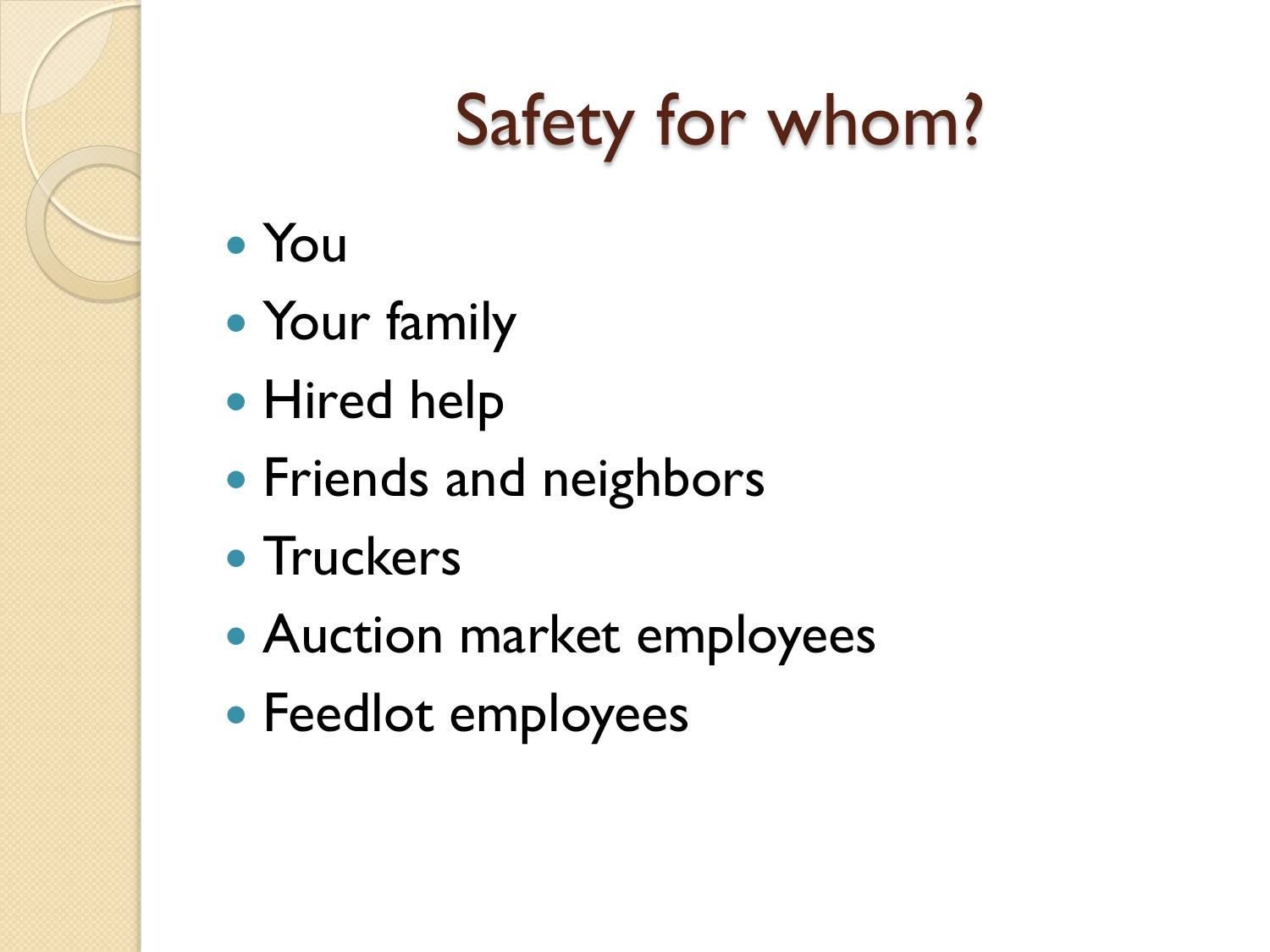# Safety for whom?

- You
- Your family
- **Hired help**
- Friends and neighbors
- Truckers
- Auction market employees
- Feedlot employees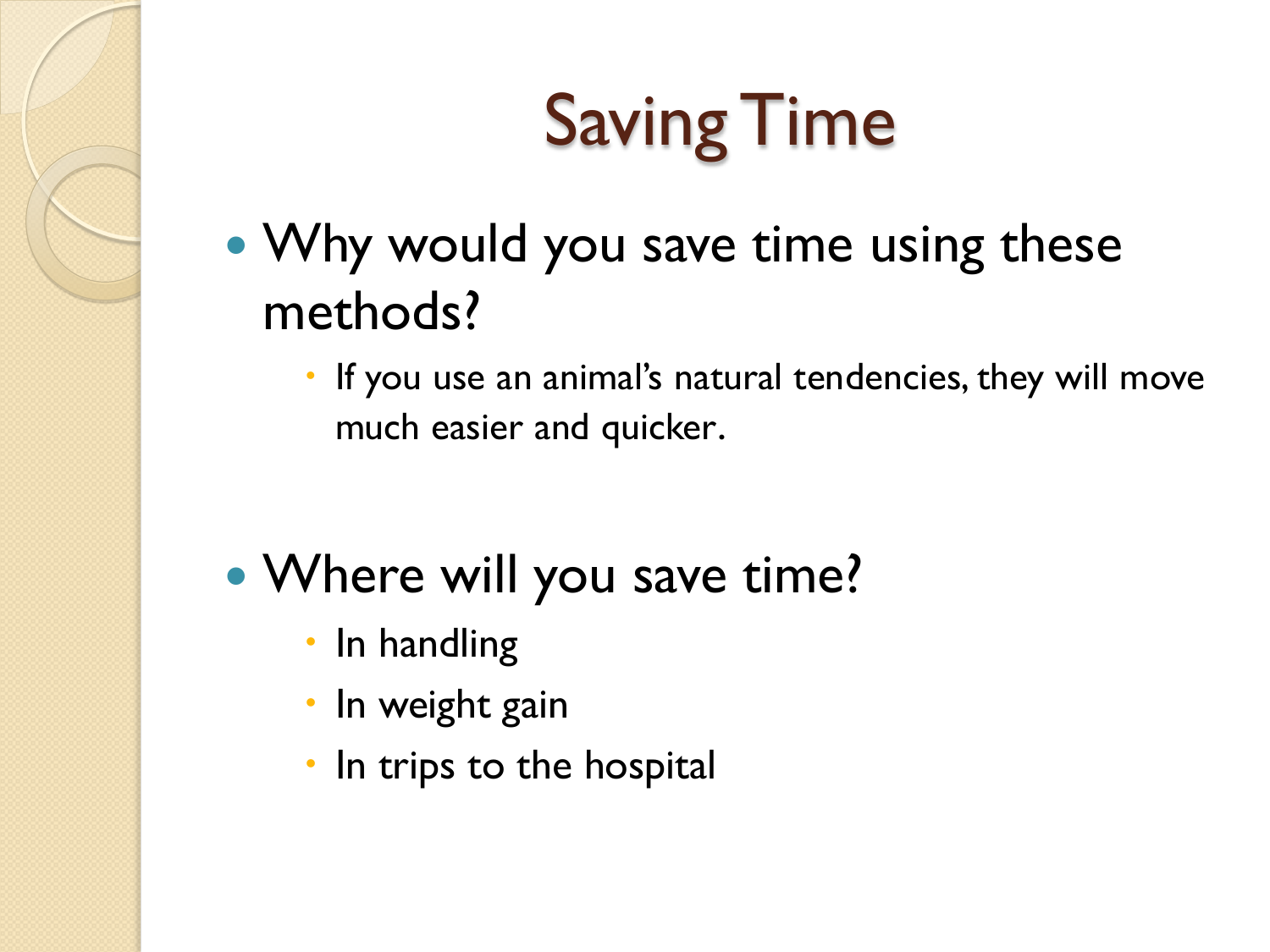# Saving Time

- Why would you save time using these methods?
	- If you use an animal's natural tendencies, they will move much easier and quicker.
- Where will you save time?
	- In handling
	- In weight gain
	- In trips to the hospital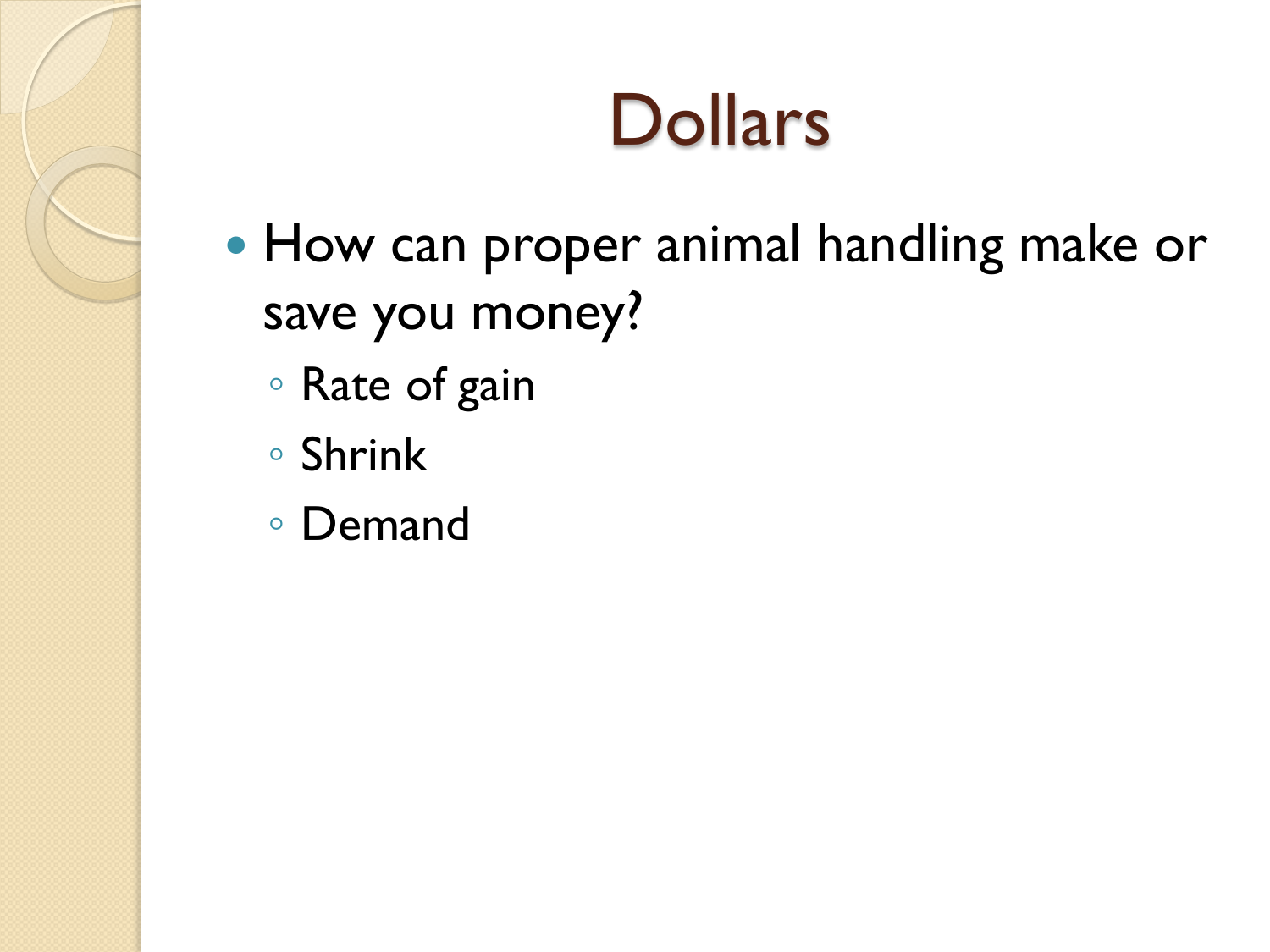### **Dollars**

- How can proper animal handling make or save you money?
	- Rate of gain
	- Shrink
	- Demand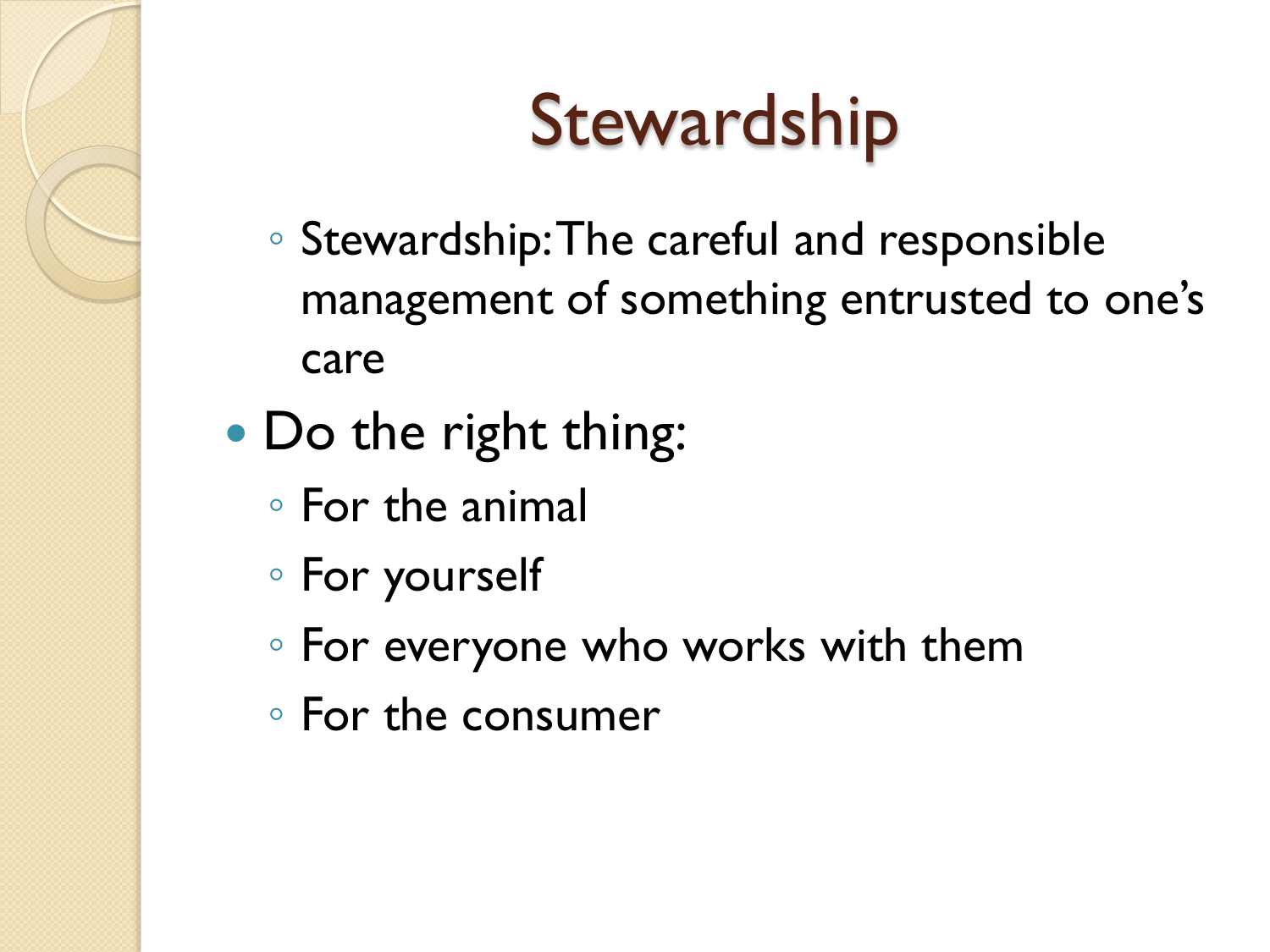# **Stewardship**

- Stewardship: The careful and responsible management of something entrusted to one's care
- Do the right thing:
	- For the animal
	- For yourself
	- For everyone who works with them
	- For the consumer